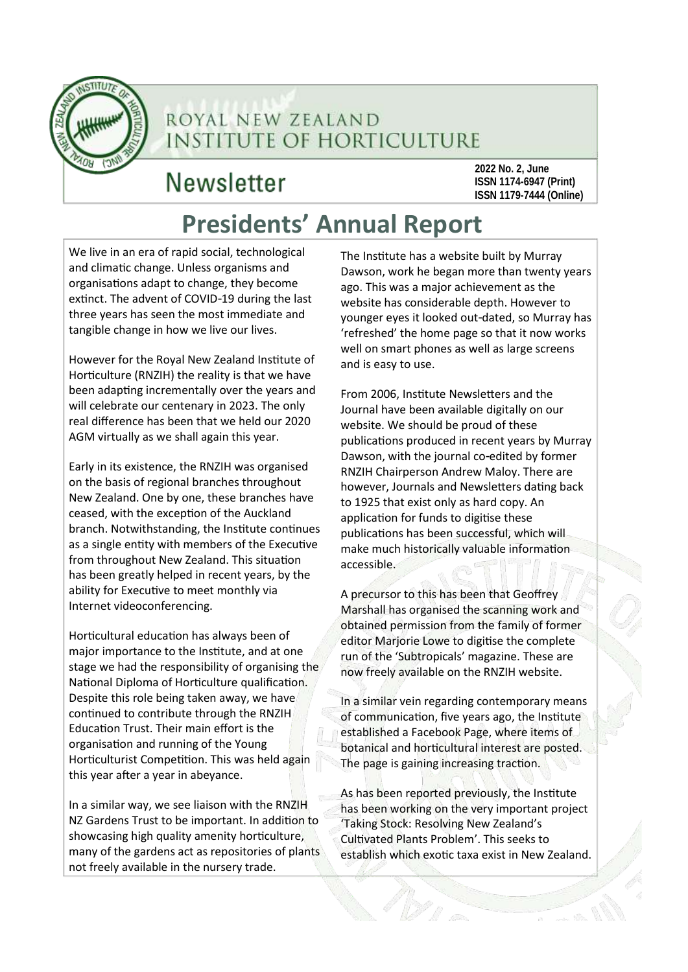

## ROYAL NEW ZEALAND **INSTITUTE OF HORTICULTURE**

## **Newsletter**

**2022 No. 2, June ISSN 1174-6947 (Print) ISSN 1179-7444 (Online)**

## **Presidents' Annual Report**

We live in an era of rapid social, technological and climatic change. Unless organisms and organisations adapt to change, they become extinct. The advent of COVID-19 during the last three years has seen the most immediate and tangible change in how we live our lives.

However for the Royal New Zealand Institute of Horticulture (RNZIH) the reality is that we have been adapting incrementally over the years and will celebrate our centenary in 2023. The only real difference has been that we held our 2020 AGM virtually as we shall again this year.

Early in its existence, the RNZIH was organised on the basis of regional branches throughout New Zealand. One by one, these branches have ceased, with the exception of the Auckland branch. Notwithstanding, the Institute continues as a single entity with members of the Executive from throughout New Zealand. This situation has been greatly helped in recent years, by the ability for Executive to meet monthly via Internet videoconferencing.

Horticultural education has always been of major importance to the Institute, and at one stage we had the responsibility of organising the National Diploma of Horticulture qualification. Despite this role being taken away, we have continued to contribute through the RNZIH Education Trust. Their main effort is the organisation and running of the Young Horticulturist Competition. This was held again this year after a year in abeyance.

In a similar way, we see liaison with the RNZIH NZ Gardens Trust to be important. In addition to showcasing high quality amenity horticulture, many of the gardens act as repositories of plants not freely available in the nursery trade.

The Institute has a website built by Murray Dawson, work he began more than twenty years ago. This was a major achievement as the website has considerable depth. However to younger eyes it looked out-dated, so Murray has 'refreshed' the home page so that it now works well on smart phones as well as large screens and is easy to use.

From 2006, Institute Newsletters and the Journal have been available digitally on our website. We should be proud of these publications produced in recent years by Murray Dawson, with the journal co-edited by former RNZIH Chairperson Andrew Maloy. There are however, Journals and Newsletters dating back to 1925 that exist only as hard copy. An application for funds to digitise these publications has been successful, which will make much historically valuable information accessible.

A precursor to this has been that Geoffrey Marshall has organised the scanning work and obtained permission from the family of former editor Marjorie Lowe to digitise the complete run of the 'Subtropicals' magazine. These are now freely available on the RNZIH website.

In a similar vein regarding contemporary means of communication, five years ago, the Institute established a Facebook Page, where items of botanical and horticultural interest are posted. The page is gaining increasing traction.

As has been reported previously, the Institute has been working on the very important project 'Taking Stock: Resolving New Zealand's Cultivated Plants Problem'. This seeks to establish which exotic taxa exist in New Zealand.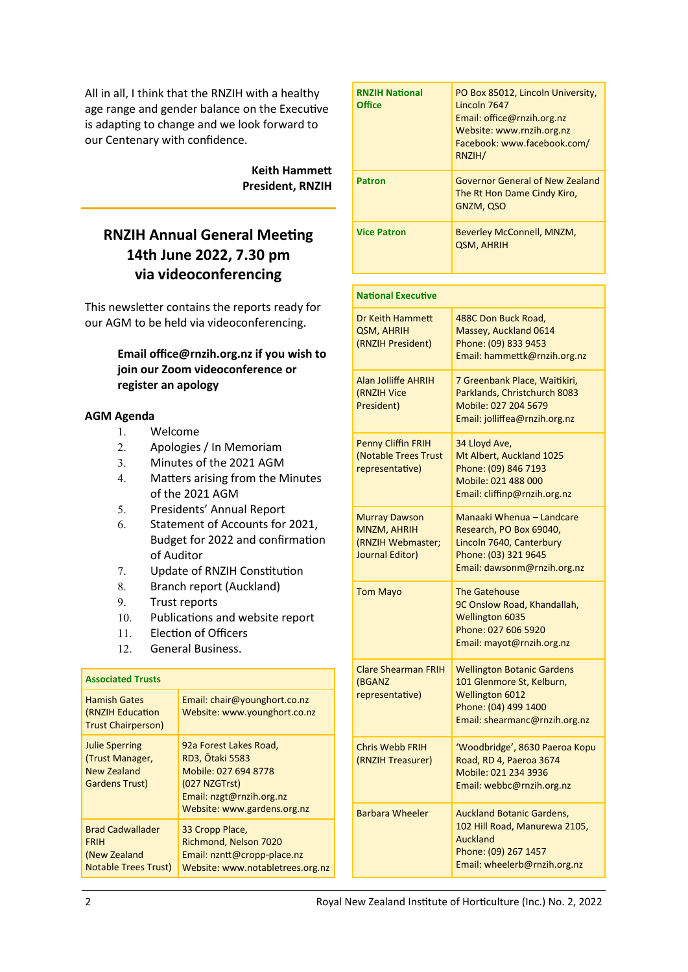All in all, I think that the RNZIH with a healthy age range and gender balance on the Executive is adapting to change and we look forward to our Centenary with confidence.

> **Keith Hammett President, RNZIH**

## **RNZIH Annual General Meeting 14th June 2022, 7.30 pm via videoconferencing**

This newsletter contains the reports ready for our AGM to be held via videoconferencing.

## **Email office@rnzih.org.nz if you wish to join our Zoom videoconference or register an apology**

## **AGM Agenda**

- Welcome
- Apologies / In Memoriam
- Minutes of the 2021 AGM
- Matters arising from the Minutes of the 2021 AGM
- Presidents' Annual Report
- 6. Statement of Accounts for 2021, Budget for 2022 and confirmation of Auditor
- Update of RNZIH Constitution
- 8. Branch report (Auckland)
- 9. Trust reports
- 10. Publications and website report

Email: chair@younghort.co.nz

- 11. Election of Officers
- General Business.

## **Associated Trusts** Hamish Gates

| (RNZIH Education<br><b>Trust Chairperson)</b>                                           | Website: www.younghort.co.nz                                                                                                                         |
|-----------------------------------------------------------------------------------------|------------------------------------------------------------------------------------------------------------------------------------------------------|
| <b>Julie Sperring</b><br>(Trust Manager,<br><b>New Zealand</b><br><b>Gardens Trust)</b> | 92a Forest Lakes Road,<br><b>RD3, Otaki 5583</b><br>Mobile: 027 694 8778<br>(027 NZGTrst)<br>Email: nzgt@rnzih.org.nz<br>Website: www.gardens.org.nz |
| <b>Brad Cadwallader</b><br><b>FRIH</b><br>(New Zealand<br><b>Notable Trees Trust)</b>   | 33 Cropp Place,<br>Richmond, Nelson 7020<br>Email: nzntt@cropp-place.nz<br>Website: www.notabletrees.org.nz                                          |

| <b>RNZIH National</b><br><b>Office</b> | PO Box 85012, Lincoln University,<br>Lincoln 7647<br>Email: office@rnzih.org.nz<br>Website: www.rnzih.org.nz<br>Facebook: www.facebook.com/<br>RNZIH/ |
|----------------------------------------|-------------------------------------------------------------------------------------------------------------------------------------------------------|
| <b>Patron</b>                          | Governor General of New Zealand<br>The Rt Hon Dame Cindy Kiro,<br>GNZM, QSO                                                                           |
| <b>Vice Patron</b>                     | Beverley McConnell, MNZM,<br>QSM, AHRIH                                                                                                               |

| <b>National Executive</b>                                                          |                                                                                                                                                   |
|------------------------------------------------------------------------------------|---------------------------------------------------------------------------------------------------------------------------------------------------|
| Dr Keith Hammett<br><b>QSM, AHRIH</b><br>(RNZIH President)                         | 488C Don Buck Road,<br>Massey, Auckland 0614<br>Phone: (09) 833 9453<br>Email: hammettk@rnzih.org.nz                                              |
| Alan Jolliffe AHRIH<br>(RNZIH Vice<br>President)                                   | 7 Greenbank Place, Waitikiri,<br>Parklands, Christchurch 8083<br>Mobile: 027 204 5679<br>Email: jolliffea@rnzih.org.nz                            |
| <b>Penny Cliffin FRIH</b><br>(Notable Trees Trust<br>representative)               | 34 Lloyd Ave,<br>Mt Albert, Auckland 1025<br>Phone: (09) 846 7193<br>Mobile: 021 488 000<br>Email: cliffinp@rnzih.org.nz                          |
| <b>Murray Dawson</b><br><b>MNZM, AHRIH</b><br>(RNZIH Webmaster;<br>Journal Editor) | Manaaki Whenua - Landcare<br>Research, PO Box 69040,<br>Lincoln 7640, Canterbury<br>Phone: (03) 321 9645<br>Email: dawsonm@rnzih.org.nz           |
| <b>Tom Mayo</b>                                                                    | <b>The Gatehouse</b><br>9C Onslow Road, Khandallah,<br><b>Wellington 6035</b><br>Phone: 027 606 5920<br>Email: mayot@rnzih.org.nz                 |
| <b>Clare Shearman FRIH</b><br>(BGANZ<br>representative)                            | <b>Wellington Botanic Gardens</b><br>101 Glenmore St, Kelburn,<br><b>Wellington 6012</b><br>Phone: (04) 499 1400<br>Email: shearmanc@rnzih.org.nz |
| <b>Chris Webb FRIH</b><br>(RNZIH Treasurer)                                        | 'Woodbridge', 8630 Paeroa Kopu<br>Road, RD 4, Paeroa 3674<br>Mobile: 021 234 3936<br>Email: webbc@rnzih.org.nz                                    |
| <b>Barbara Wheeler</b>                                                             | <b>Auckland Botanic Gardens,</b><br>102 Hill Road, Manurewa 2105,<br><b>Auckland</b><br>Phone: (09) 267 1457<br>Email: wheelerb@rnzih.org.nz      |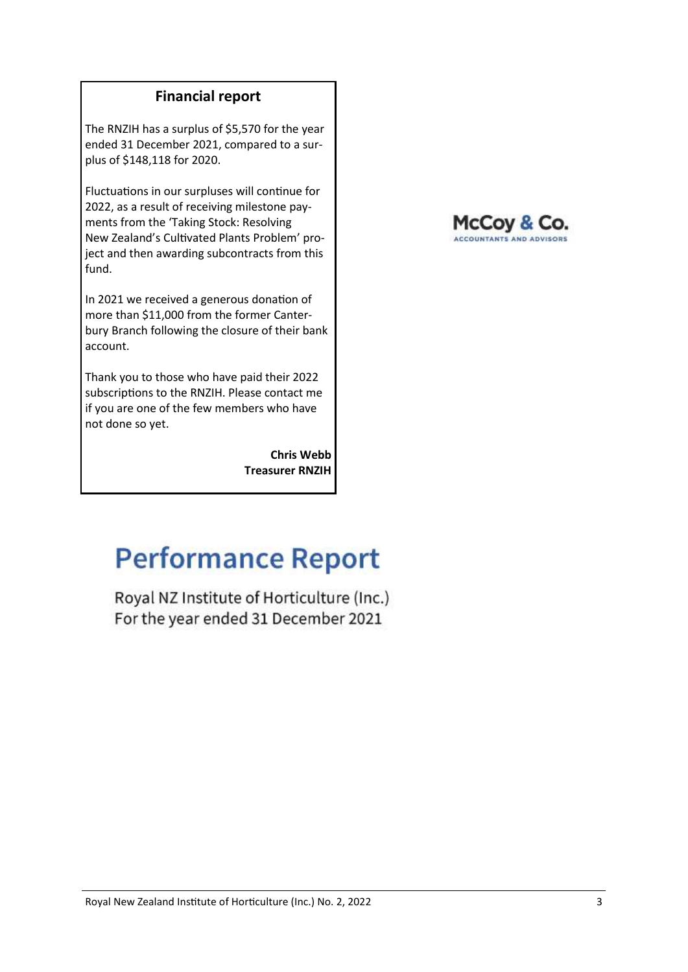## **Financial report**

The RNZIH has a surplus of \$5,570 for the year ended 31 December 2021, compared to a surplus of \$148,118 for 2020.

Fluctuations in our surpluses will continue for 2022, as a result of receiving milestone payments from the 'Taking Stock: Resolving New Zealand's Cultivated Plants Problem' project and then awarding subcontracts from this fund.

In 2021 we received a generous donation of more than \$11,000 from the former Canterbury Branch following the closure of their bank account.

Thank you to those who have paid their 2022 subscriptions to the RNZIH. Please contact me if you are one of the few members who have not done so yet.

> **Chris Webb Treasurer RNZIH**

## McCoy & Co. ACCOUNTANTS AND ADVISORS

## **Performance Report**

Royal NZ Institute of Horticulture (Inc.) For the year ended 31 December 2021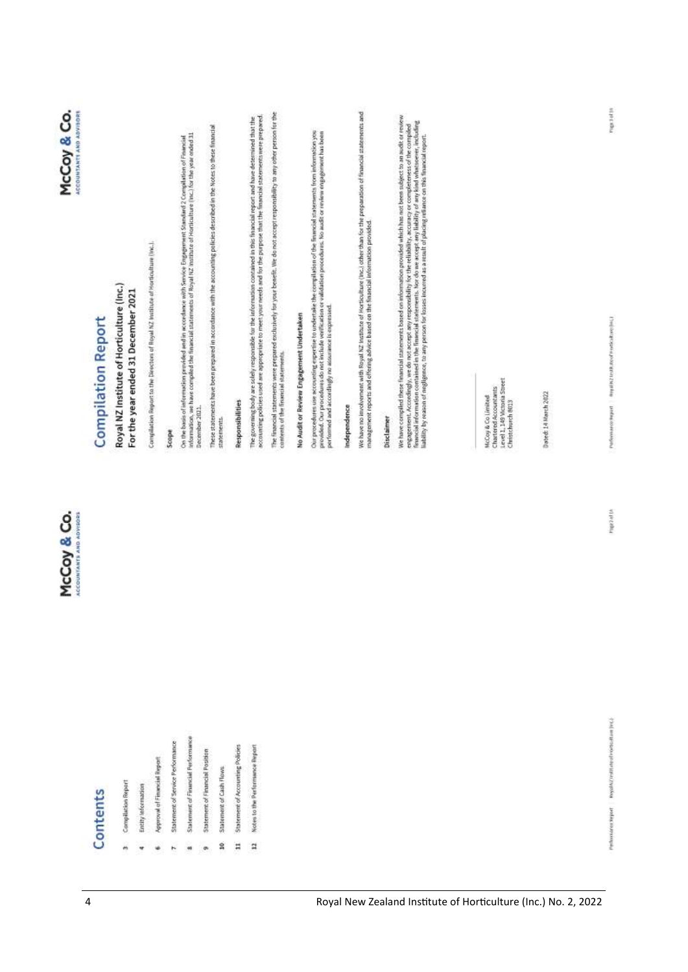|                                                   | McCoy & Co.<br><b>ACCOUNTANTS AND ADVISORS</b>                                                   | McCoy & Co.<br><b>ACCOUNTANTS AND ADVISORS</b>                                                                                                                                                                                                                                                                                                                                                                                                                                                   |
|---------------------------------------------------|--------------------------------------------------------------------------------------------------|--------------------------------------------------------------------------------------------------------------------------------------------------------------------------------------------------------------------------------------------------------------------------------------------------------------------------------------------------------------------------------------------------------------------------------------------------------------------------------------------------|
| Contents                                          | <b>Compilation Report</b>                                                                        |                                                                                                                                                                                                                                                                                                                                                                                                                                                                                                  |
| Compilation Report                                | Royal NZ Institute of Horticulture (Inc.)<br>For the year ended 31 December 2021                 |                                                                                                                                                                                                                                                                                                                                                                                                                                                                                                  |
| Entity information                                |                                                                                                  |                                                                                                                                                                                                                                                                                                                                                                                                                                                                                                  |
| Approval of Financial Report                      | Compilation Report to the Directors of Royal NZ Institute of Hortfoxiture (inc.).                |                                                                                                                                                                                                                                                                                                                                                                                                                                                                                                  |
| Statement of Service Performance                  | Scope                                                                                            |                                                                                                                                                                                                                                                                                                                                                                                                                                                                                                  |
| Statement of Financial Performance<br>m           |                                                                                                  | Ces the basis of information provided and in accordance with Service Engagement Standard 2 Compilation of Financial<br>Information, we have compiled the financial statements of Royal NZ Institute of Hortleathere (Inc.) for th                                                                                                                                                                                                                                                                |
| Statement of Financial Position                   | December 2021                                                                                    |                                                                                                                                                                                                                                                                                                                                                                                                                                                                                                  |
| Statement of Cash Flows<br>ន                      | statements.                                                                                      | These statements have been prepared in accordance with the accounting policies described in the Notes to these financial                                                                                                                                                                                                                                                                                                                                                                         |
| Statement of Accounting Policies<br>Ħ             | <b>Responsibilities</b>                                                                          |                                                                                                                                                                                                                                                                                                                                                                                                                                                                                                  |
| Notes to the Performance Report<br>$\mathfrak{a}$ |                                                                                                  | The governing body are solely responsible for the information contained in this financial report and have determined that the<br>accounting policies used are appropriate to meet your needs and for the purpose that the financi                                                                                                                                                                                                                                                                |
|                                                   | contents of the financial statements.                                                            | The financial statements were prepared exclusively for your benefit. We do not accept responsibility to any other person for the                                                                                                                                                                                                                                                                                                                                                                 |
|                                                   | No Audit or Review Engagement Undertaken                                                         |                                                                                                                                                                                                                                                                                                                                                                                                                                                                                                  |
|                                                   | performed and accordingly no assumince is expressed.                                             | Our procedures use accounting expertise to undertake the compilation of the Truancial statements from information you<br>provided: Our procedures do not include verification or validation procedures. No audit or review engagement has been                                                                                                                                                                                                                                                   |
|                                                   | Independence                                                                                     |                                                                                                                                                                                                                                                                                                                                                                                                                                                                                                  |
|                                                   | management reports and offering advice based on the financial information provided.              | We have no involvement with Royal NZ Institute of Horticulture (Inc.) other than for the preparation of financial statements and                                                                                                                                                                                                                                                                                                                                                                 |
|                                                   | <b>Disclaimer</b>                                                                                |                                                                                                                                                                                                                                                                                                                                                                                                                                                                                                  |
|                                                   |                                                                                                  | We have compiled these financial statements based on information provided which has not been subject to an audit or review<br>engagement. Accordingly, we do not occept any responshilly for the reliability, accuracy or completeness of the compled<br>Transcal information contained in the Transcal statements. Not do we accept any liability of any kind<br>liability by reason of negligence, to any person for losses incurred as a result of placing reliance on this financial report. |
|                                                   |                                                                                                  |                                                                                                                                                                                                                                                                                                                                                                                                                                                                                                  |
|                                                   | Level 1, 149 Victoria Street<br>Chartered Accountants<br>McCoy & Co Limited<br>Christchurch 8013 |                                                                                                                                                                                                                                                                                                                                                                                                                                                                                                  |
|                                                   | Dated: 14 March 2022                                                                             |                                                                                                                                                                                                                                                                                                                                                                                                                                                                                                  |

i, ŵ  $\overline{r}$   $\frac{3}{10}$  $\rm{ii}$ 

ú

 $_{\rm n}$ 

**ATTECRAL** 

Performance request (integrate and a security of Freeholds to an One)

mgx 3 of 10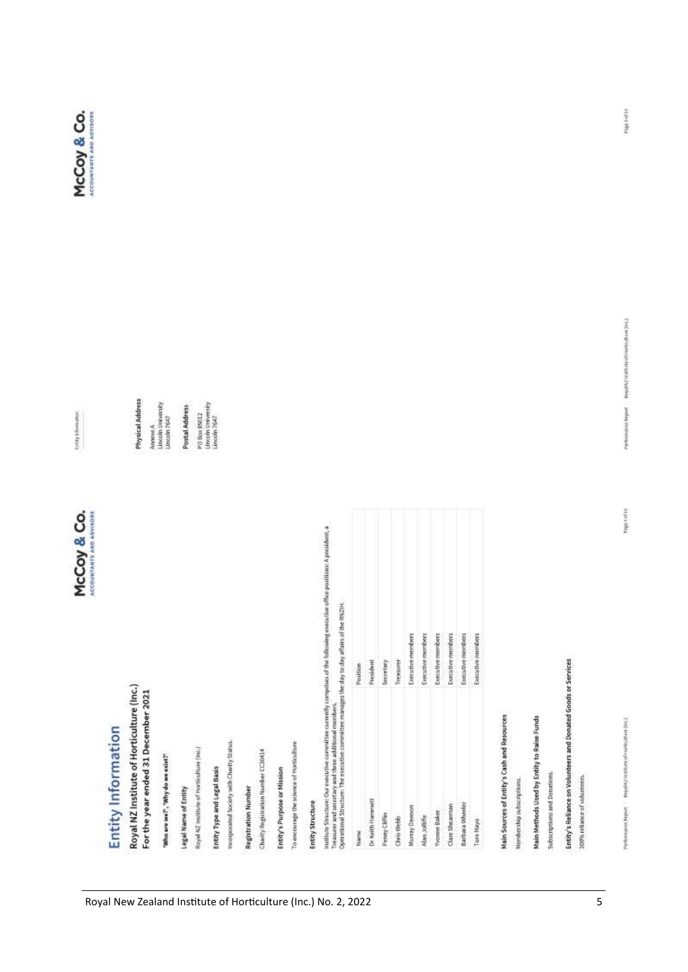## Royal NZ Institute of Horticulture (Inc.) **Entity Information**

For the year ended 31 December 2021

Annexe A<br>Lincoln University<br>Lincoln 7647 Physical Address

PD Box 85012<br>Lincoln University<br>Lincoln 7647 Postal Address

"Who are we?", "Why do we exist?"

Royal NZ institute of Hortfoxfoxe (inc.) Legal Name of Entity

Entity Type and Legal Basis

Incorporated Society with Charity Status.

**Registration Number** 

Charity Registration Number CC30414

Entity's Purpose or Mission

To encourage the science of Horticulture

Entity Structure

institute Structure: Our executive committee currently comprises of the following executive office positions: A president, a<br>Treasurer and secretary and three additional members,<br>Operational Structure: The executive commit

|       | Position<br>President | Secretary     | Treasurer  | Executive members | Executive members | Executive members   | Executive members | Executive members      | Executive members |
|-------|-----------------------|---------------|------------|-------------------|-------------------|---------------------|-------------------|------------------------|-------------------|
| Narre | Dr Keith Hammett      | Penny Cliffin | Chris Webb | Nurray Dawson     | Alan Jolliffe     | <b>Yyonne Baker</b> | Clare Shearman    | <b>Barbara Wheeler</b> | Tom Mayo          |

Main Sources of Entity's Cash and Resources

Membership subscriptions.

Main Methods Used by Entity to Raise Funds

Subscriptions and Donations.

Entity's Reliance on Volunteers and Donated Goods or Services

100% reliance of volunteers.

 $\overline{\mathbf{5}}$ 

wherearce separt. Resolve teatrate of Hostan (His).

Page 4 of 14

Particular or Separt Regular restricts of Horscham (HC)



tomp visionation

McCoy & Co.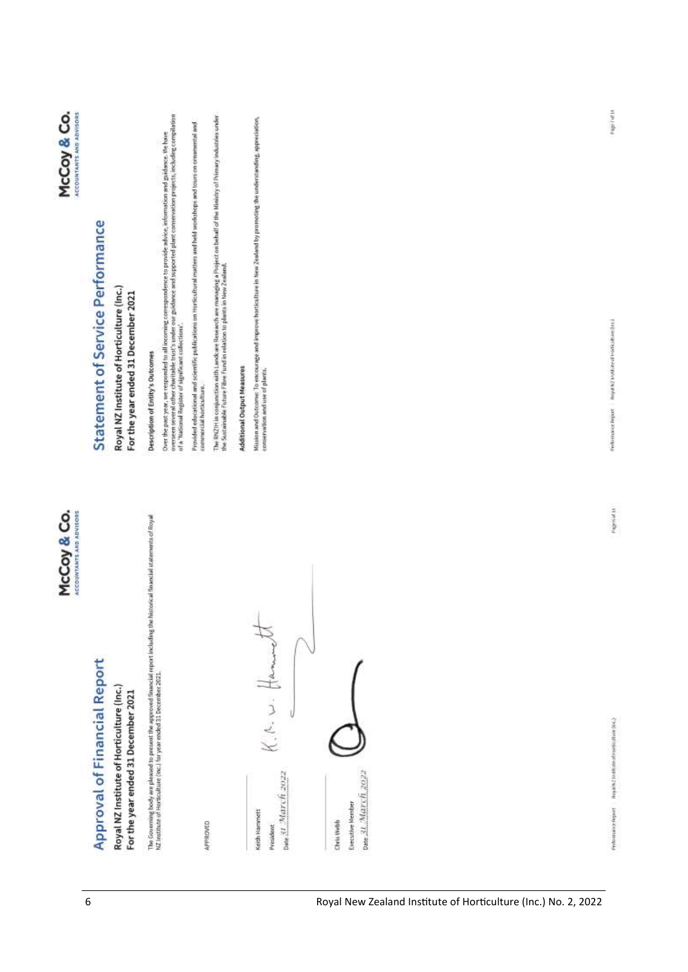

# **Approval of Financial Report**

McCoy & Co. **ACCOUNTANTS AND ADVISORS** 

## Royal NZ Institute of Horticulture (Inc.) For the year ended 31 December 2021

The Governing body are pleased to present the approved thearclat report including the historical financial statements of Royal<br>NZ restitute of Hortloukure (Inc.) for year ended 31 December 2021.

APPROVED

ban 31 March 2022 pae 31 March 2022 Executive Member Keith Hammett Chris Webb President

## Statement of Service Performance

## Royal NZ Institute of Horticulture (Inc.) For the year ended 31 December 2021

Description of Entity's Outcomes

Over the past year, we responded by all incoming correspondence to provide advice, information and guidance. We have<br>overseen several other charitable trust's under our givilance and supported plant conservation projects,

Provided educational and scientific publications on Hortfoultural matters and held workshops and tours on ornamental and commercial horticulture. The RNZIH in conjunction with Lands are Research are managing a Project on behalf of the Ministry of Primary Industries under<br>the Sustainable Future Fibre Fund in relation to plants in New Zealand.

## Additional Output Measures

Mission and Outcomer To encourage and improve horistulture in New Zealand by promoting the understanding, appreciation,<br>conservation and use of plants.

Performance Report Repairs Z to dispersive part (NS2)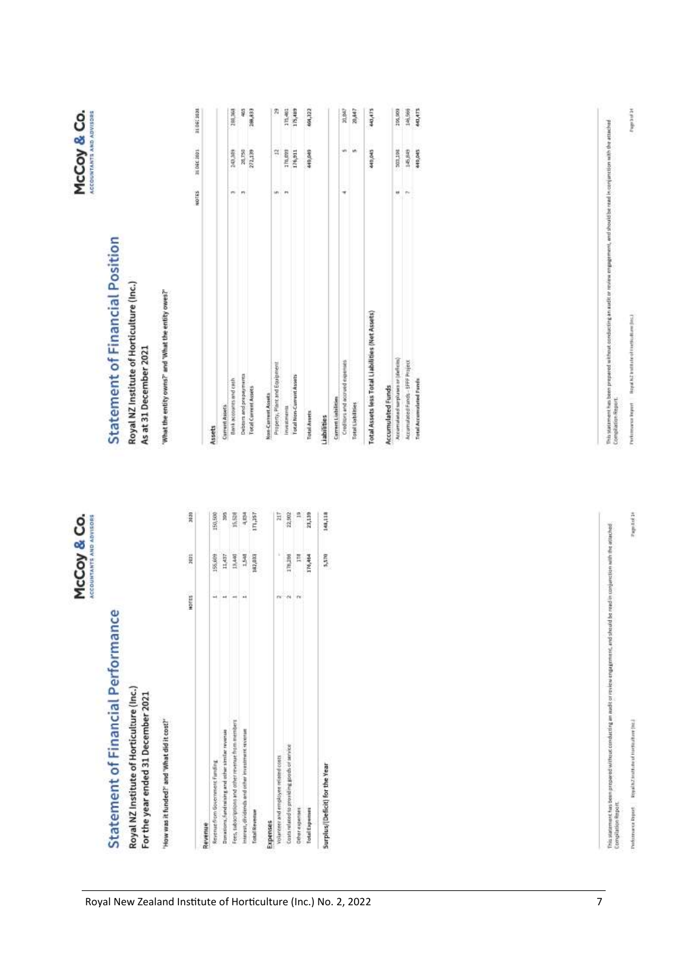| n |  |
|---|--|
|   |  |
|   |  |
|   |  |
|   |  |
|   |  |
|   |  |
|   |  |
|   |  |
|   |  |
|   |  |
|   |  |
|   |  |
|   |  |
|   |  |

# Statement of Financial Performance

McCoy & Co.

## Royal NZ Institute of Horticulture (Inc.)

For the year ended 31 December 2021

"How was it funded?" and "What did it cost?"

|                                                    | HOTES                    | 3021         | 3030               |
|----------------------------------------------------|--------------------------|--------------|--------------------|
| Revenue                                            |                          |              |                    |
| Revenue from Government Funding                    |                          | 155,609      | 150,500            |
| Donations, fundraining and other similar revenue   |                          | 11,437       | 8                  |
| Fees, subscriptions and other revenue from members |                          | 13,440       | 15,528             |
| interest, dividends and other investment revenue   |                          | 3            | 長                  |
| <b>Total Revenue</b>                               |                          | 182,623<br>į | <b>ISC'NI</b><br>i |
| Expenses                                           |                          |              |                    |
| Volunteer and employee related coats               |                          | k            | Ħ                  |
| Costs related to providing goods or service        | $\overline{\phantom{a}}$ | 170,199      | 22,902             |
| Офет и креплек                                     | ŕ×                       | E            | ŝ                  |
| Total Experters                                    |                          | 170,464      | 23,139             |
| Surplus/(Deficit) for the Year                     |                          | 5,570        | 148,118            |

Royal New Zealand Institute of Horticulture (Inc.) No. 2, 2022

## **Statement of Financial Position**

## Royal NZ Institute of Horticulture (Inc.) As at 31 December 2021

"What the entity owns?" and "What the entity owes?"

210602091 210602001

10165

| Assets                                           |     |         |         |
|--------------------------------------------------|-----|---------|---------|
| Current Assets                                   |     |         |         |
| Bank accounts and cests                          |     | 340,000 | 180,360 |
| Debtors and prepayments                          | m   | 28,750  | ş       |
| Total Current Assets                             |     | 272,139 | 188,833 |
| Non-Current Assets                               |     |         |         |
| Property, Plant and Equipment                    | in. | ą       | Ą       |
| investments                                      | m   | 176,893 | 175,481 |
| Total Non-Current Assets                         |     | 176,911 | 175,489 |
| <b>Total Avents</b>                              |     | 440,040 | 464,322 |
| Liabilities                                      |     |         |         |
| Current Lisbilities                              |     |         |         |
| Creditors and accrued expenses                   | İ   | w       | 20,047  |
| <b>Total Lisbilities</b>                         |     | u       | 29407   |
| Total Assets less Total Liabilities (Net Assets) |     | 449,045 | 443,475 |
| Accumulated Funds                                |     |         |         |
| Accumulated surpluses or (deficits)              | u   | 300,198 | 295,909 |
| Accumulated Fands - SFFF Project                 |     | 145,849 | 146,966 |
|                                                  |     |         |         |

| tal Assets less Total Liabilities (Net Assets) | 440,045            | ELP'EN#            |
|------------------------------------------------|--------------------|--------------------|
| cumulated Funds                                |                    |                    |
| comulated surpluses or (deficits)              | 303,198            | 205,000            |
| ccumulated Fands - SFFF Projet                 | 145,645<br>440,045 | 146,999<br>443,473 |
| otal Accumulated Fans                          |                    |                    |
|                                                |                    |                    |
|                                                |                    |                    |

This statement has been proported without conducting an audit or review a regularment, and she udd be read in conjunction with the attached<br>Complishing Report

Royal NZ text flato of Hardkall and [tre.] **Volumes** Report

This platement has been prepared without conducting an audit or review employment, and should be mail in conjunction with the attached<br>Compliation Report,

etkutkanı (Hs.) Royal NZ Instit uwsze Report Î

Page Aud 14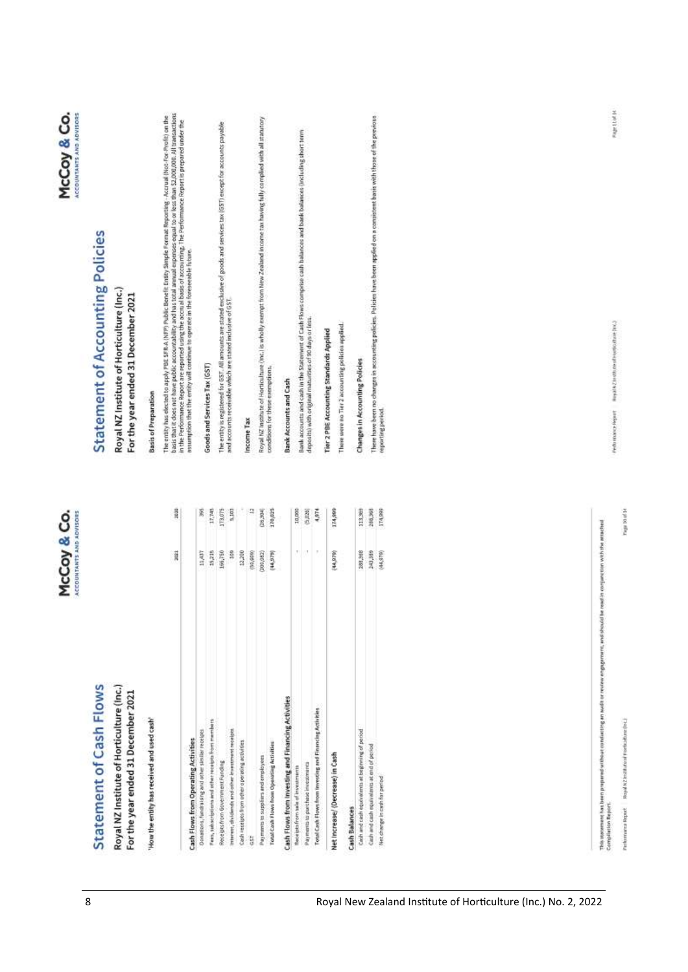|                                                                                                                                                             | McCoy & Co.<br>ACCOUNTANTS AND ADVISORS |                  | McCoy & Co.<br>ACCOUNTANTS AND ADVISORS                                                                                                                                                                                                                                                                                                                              |
|-------------------------------------------------------------------------------------------------------------------------------------------------------------|-----------------------------------------|------------------|----------------------------------------------------------------------------------------------------------------------------------------------------------------------------------------------------------------------------------------------------------------------------------------------------------------------------------------------------------------------|
| Statement of Cash Flows                                                                                                                                     |                                         |                  | Statement of Accounting Policies                                                                                                                                                                                                                                                                                                                                     |
| Royal NZ Institute of Horticulture (Inc.)<br>For the year ended 31 December 2021                                                                            |                                         |                  | Royal NZ Institute of Horticulture (Inc.)<br>For the year ended 31 December 2021                                                                                                                                                                                                                                                                                     |
| 'How the entity has received and used cash'                                                                                                                 |                                         |                  | <b>Basis of Preparation</b>                                                                                                                                                                                                                                                                                                                                          |
|                                                                                                                                                             | 3002                                    | 303E             | basis that it does not have public accountability and has total annual experiese equal to or less than 52,000,000. All transactions<br>In the Performance Report are reported using the accrual basis of accounting. The Performa<br>The entity has elected to apply PBE SFR A (NFP) Public Benefit Entity Simple Format Reporting - Accrual (Not-For-Realit) on the |
| Cash Flows from Operating Activities                                                                                                                        |                                         |                  | assumption that the entity wal continue to operate in the foreseeable future.                                                                                                                                                                                                                                                                                        |
| Donations, fundraising and other similar receipts                                                                                                           | 11,437                                  | ä                |                                                                                                                                                                                                                                                                                                                                                                      |
| Feas, subscriptions and other receipts from members                                                                                                         | 15,215                                  | 17,745           | Goods and Services Tax (GST)                                                                                                                                                                                                                                                                                                                                         |
| interest, dividends and other insectment receipts.<br>Receipts from Government Funding                                                                      | 166,750<br>329                          | 173,075<br>5,103 | The entity is registered for GST. All amounts are stated exclusive of goods and services tax (GST) except for accounts payable<br>and accounts receivable which are stated inclusive of GST.                                                                                                                                                                         |
| Cash receipts from other operating activities.                                                                                                              | 12,200                                  |                  |                                                                                                                                                                                                                                                                                                                                                                      |
| ij                                                                                                                                                          | (80,000)                                | B                | Income Tax                                                                                                                                                                                                                                                                                                                                                           |
| Payments to suppliers and employees                                                                                                                         | (200, 082)                              | [28, 204]        | Royal NZ Institute of Horticulture (Inc.) is wholly exempt from New Zealand Income tax having fully complied with all statutory                                                                                                                                                                                                                                      |
| <b>Total Cash Flows from Operating Activities</b>                                                                                                           | (44, 979)                               | 170,025          | conditions for these exemptions.                                                                                                                                                                                                                                                                                                                                     |
| Cash Flows from investing and Financing Activities                                                                                                          |                                         |                  | <b>Bank Accounts and Cash</b>                                                                                                                                                                                                                                                                                                                                        |
| flece jots from take of investments                                                                                                                         | Ŧ.                                      | 10,000           | Bank accounts and cash in the Statement of Cash Flows comprise cash balances and bank balances (including short term                                                                                                                                                                                                                                                 |
| Payments to parchase investments                                                                                                                            | U.                                      | (9,026)          | deposits) with original maturities of 90 days or less.                                                                                                                                                                                                                                                                                                               |
| Total Cash Flows from Investing and Financing Activities                                                                                                    | $\boldsymbol{\tau}$                     | 4,974            |                                                                                                                                                                                                                                                                                                                                                                      |
| Net Increase/ (Decrease) in Cash                                                                                                                            | (44,97%)                                | 174,899          | Tier 2 PBE Accounting Standards Applied                                                                                                                                                                                                                                                                                                                              |
|                                                                                                                                                             |                                         |                  | There were no Tier 2 accounting policies applied.                                                                                                                                                                                                                                                                                                                    |
| Cash and cash equivalents at beginning of period<br><b>Cash Balances</b>                                                                                    | 288,368                                 | 113,300          | Changes in Accounting Policies                                                                                                                                                                                                                                                                                                                                       |
| Cash and cash equivalents at end of period                                                                                                                  | 243,389                                 | 288,368          | There have been no changes in accounting policies. Policies have been applied on a consistent basis with those of the previous                                                                                                                                                                                                                                       |
| Net change in cash for period                                                                                                                               | (44,878)                                | 174,999          | reporting period.                                                                                                                                                                                                                                                                                                                                                    |
|                                                                                                                                                             |                                         |                  |                                                                                                                                                                                                                                                                                                                                                                      |
| This zonement has been preperse without consisting an audit or review engagement, and should be readin conjunction with the attached<br>Compliation Report: |                                         |                  |                                                                                                                                                                                                                                                                                                                                                                      |
|                                                                                                                                                             |                                         |                  |                                                                                                                                                                                                                                                                                                                                                                      |

Page ttul 14

(укончались бернит — первый в 2 названий и области (перв

Fage 10.00 14

Royal NZ Institutional Promittude one (Inc.)

Performance Report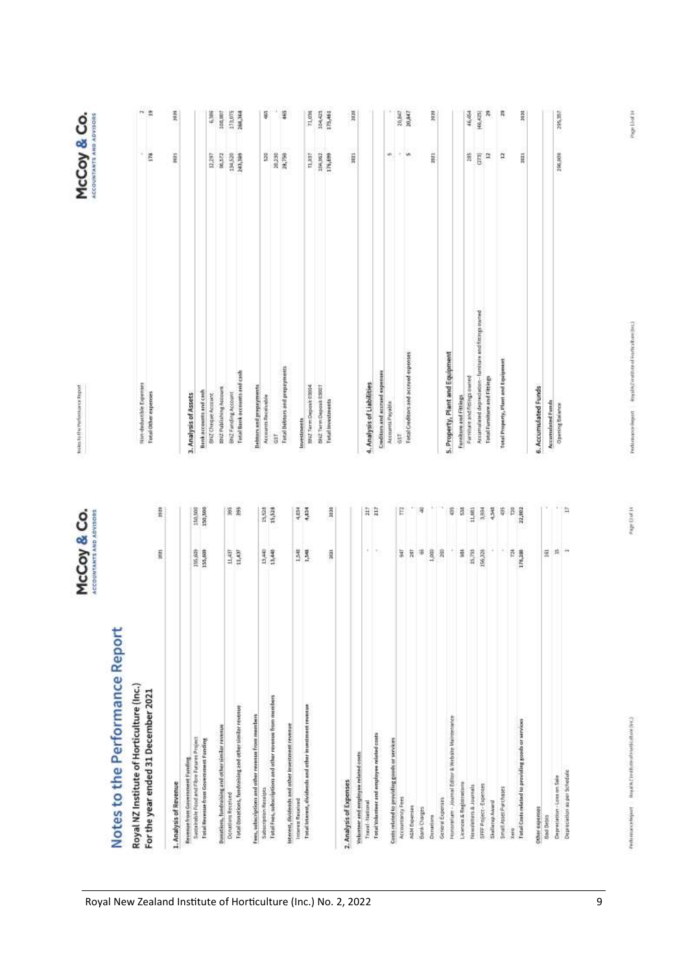| $n \geq$<br>ñ<br>465<br>104,425<br>g,<br>Å<br>asse.<br>100,907<br>178,075<br>288,368<br>Ş<br>71,024<br>175,461<br>3636<br>28,847<br>19992<br>Ŗ<br>46,454<br>46,425<br>295,357<br>演じ<br>206,003<br>Esta<br>96,572<br>194,528<br>104,002<br>176,809<br>W,<br>÷<br>w<br>282<br>p<br>Ħ<br>Ē<br>ŝ<br>38,230<br>26,750<br>T1,837<br>3821<br>Inc.<br>2021<br>12,297<br>Accumulated deprecision - furniture and fittings owned<br><b>Total Creditors and accrued expenses</b><br>5. Property, Plant and Equipment<br>Total Property, Plant and Equipment<br><b>Total Debtors and prepayments</b><br>Total Bank accounts and cash<br><b>Creditors and accrued expenses</b><br>Ferriture and fittings owned<br><b>Fotal Furniture and Fittings</b><br>Non-deductible Expenses<br>4. Analysis of Liabilities<br>INVZ Term Deposit 03004<br><b>Debtors</b> and prepayments<br>SN2 Term Deposit 03021<br>6. Accumulated Funds<br>BNZ Publishing Account<br>Bankaccounts and cash<br>Total Other expenses<br>BNZ Fanding Account<br>SNZ Cheque Account<br>3. Analysis of Assets<br>Accounts Receivede<br>Furniture and Fittings<br><b>Total Investments</b><br>Accumulated Funds<br>Accounts Payable<br><b>Opening Balance</b><br>Investments<br>657.<br>ā<br>m<br>150,000<br>15,528<br>Į<br>3030<br>$\frac{27}{12}$<br>11,601<br>22,902<br>A<br>150,500<br>88 S<br>E<br>ş<br>Ş<br>ä<br>3,504<br>4,348<br>H<br>ß<br>ł<br>Y)<br>155,609<br>$\frac{11,437}{11,437}$<br>13.48<br>13.48<br>1,000<br>15,755<br>A<br>Ħ<br>pieces.<br>116,609<br>景景<br>ī,<br>$\frac{1}{2}$<br>净<br>$\approx$<br>ă<br>156,326<br>西川<br>$\overline{161}$<br>2003<br>ance Report<br>$\left($ lnc.)<br>120<br>ğ | McCoy & Co.<br><b>ACCOUNTANTS AND ADVISORS</b> | Notes To Hw Porformance Report | McCoy & Co.<br>ACCOUNTANTS AND ADVISORS |  |
|------------------------------------------------------------------------------------------------------------------------------------------------------------------------------------------------------------------------------------------------------------------------------------------------------------------------------------------------------------------------------------------------------------------------------------------------------------------------------------------------------------------------------------------------------------------------------------------------------------------------------------------------------------------------------------------------------------------------------------------------------------------------------------------------------------------------------------------------------------------------------------------------------------------------------------------------------------------------------------------------------------------------------------------------------------------------------------------------------------------------------------------------------------------------------------------------------------------------------------------------------------------------------------------------------------------------------------------------------------------------------------------------------------------------------------------------------------------------------------------------------------------------------------------------------------------------------------------------------------------------------------------------------------------------|------------------------------------------------|--------------------------------|-----------------------------------------|--|
|                                                                                                                                                                                                                                                                                                                                                                                                                                                                                                                                                                                                                                                                                                                                                                                                                                                                                                                                                                                                                                                                                                                                                                                                                                                                                                                                                                                                                                                                                                                                                                                                                                                                        |                                                |                                |                                         |  |
|                                                                                                                                                                                                                                                                                                                                                                                                                                                                                                                                                                                                                                                                                                                                                                                                                                                                                                                                                                                                                                                                                                                                                                                                                                                                                                                                                                                                                                                                                                                                                                                                                                                                        |                                                |                                |                                         |  |
|                                                                                                                                                                                                                                                                                                                                                                                                                                                                                                                                                                                                                                                                                                                                                                                                                                                                                                                                                                                                                                                                                                                                                                                                                                                                                                                                                                                                                                                                                                                                                                                                                                                                        |                                                |                                |                                         |  |
|                                                                                                                                                                                                                                                                                                                                                                                                                                                                                                                                                                                                                                                                                                                                                                                                                                                                                                                                                                                                                                                                                                                                                                                                                                                                                                                                                                                                                                                                                                                                                                                                                                                                        |                                                |                                |                                         |  |
|                                                                                                                                                                                                                                                                                                                                                                                                                                                                                                                                                                                                                                                                                                                                                                                                                                                                                                                                                                                                                                                                                                                                                                                                                                                                                                                                                                                                                                                                                                                                                                                                                                                                        |                                                |                                |                                         |  |
|                                                                                                                                                                                                                                                                                                                                                                                                                                                                                                                                                                                                                                                                                                                                                                                                                                                                                                                                                                                                                                                                                                                                                                                                                                                                                                                                                                                                                                                                                                                                                                                                                                                                        |                                                |                                |                                         |  |
|                                                                                                                                                                                                                                                                                                                                                                                                                                                                                                                                                                                                                                                                                                                                                                                                                                                                                                                                                                                                                                                                                                                                                                                                                                                                                                                                                                                                                                                                                                                                                                                                                                                                        |                                                |                                |                                         |  |
|                                                                                                                                                                                                                                                                                                                                                                                                                                                                                                                                                                                                                                                                                                                                                                                                                                                                                                                                                                                                                                                                                                                                                                                                                                                                                                                                                                                                                                                                                                                                                                                                                                                                        |                                                |                                |                                         |  |
|                                                                                                                                                                                                                                                                                                                                                                                                                                                                                                                                                                                                                                                                                                                                                                                                                                                                                                                                                                                                                                                                                                                                                                                                                                                                                                                                                                                                                                                                                                                                                                                                                                                                        |                                                |                                |                                         |  |
|                                                                                                                                                                                                                                                                                                                                                                                                                                                                                                                                                                                                                                                                                                                                                                                                                                                                                                                                                                                                                                                                                                                                                                                                                                                                                                                                                                                                                                                                                                                                                                                                                                                                        |                                                |                                |                                         |  |
|                                                                                                                                                                                                                                                                                                                                                                                                                                                                                                                                                                                                                                                                                                                                                                                                                                                                                                                                                                                                                                                                                                                                                                                                                                                                                                                                                                                                                                                                                                                                                                                                                                                                        |                                                |                                |                                         |  |
|                                                                                                                                                                                                                                                                                                                                                                                                                                                                                                                                                                                                                                                                                                                                                                                                                                                                                                                                                                                                                                                                                                                                                                                                                                                                                                                                                                                                                                                                                                                                                                                                                                                                        |                                                |                                |                                         |  |
|                                                                                                                                                                                                                                                                                                                                                                                                                                                                                                                                                                                                                                                                                                                                                                                                                                                                                                                                                                                                                                                                                                                                                                                                                                                                                                                                                                                                                                                                                                                                                                                                                                                                        |                                                |                                |                                         |  |
|                                                                                                                                                                                                                                                                                                                                                                                                                                                                                                                                                                                                                                                                                                                                                                                                                                                                                                                                                                                                                                                                                                                                                                                                                                                                                                                                                                                                                                                                                                                                                                                                                                                                        |                                                |                                |                                         |  |
|                                                                                                                                                                                                                                                                                                                                                                                                                                                                                                                                                                                                                                                                                                                                                                                                                                                                                                                                                                                                                                                                                                                                                                                                                                                                                                                                                                                                                                                                                                                                                                                                                                                                        |                                                |                                |                                         |  |
|                                                                                                                                                                                                                                                                                                                                                                                                                                                                                                                                                                                                                                                                                                                                                                                                                                                                                                                                                                                                                                                                                                                                                                                                                                                                                                                                                                                                                                                                                                                                                                                                                                                                        |                                                |                                |                                         |  |
|                                                                                                                                                                                                                                                                                                                                                                                                                                                                                                                                                                                                                                                                                                                                                                                                                                                                                                                                                                                                                                                                                                                                                                                                                                                                                                                                                                                                                                                                                                                                                                                                                                                                        |                                                |                                |                                         |  |
|                                                                                                                                                                                                                                                                                                                                                                                                                                                                                                                                                                                                                                                                                                                                                                                                                                                                                                                                                                                                                                                                                                                                                                                                                                                                                                                                                                                                                                                                                                                                                                                                                                                                        |                                                |                                |                                         |  |
|                                                                                                                                                                                                                                                                                                                                                                                                                                                                                                                                                                                                                                                                                                                                                                                                                                                                                                                                                                                                                                                                                                                                                                                                                                                                                                                                                                                                                                                                                                                                                                                                                                                                        |                                                |                                |                                         |  |
|                                                                                                                                                                                                                                                                                                                                                                                                                                                                                                                                                                                                                                                                                                                                                                                                                                                                                                                                                                                                                                                                                                                                                                                                                                                                                                                                                                                                                                                                                                                                                                                                                                                                        |                                                |                                |                                         |  |
|                                                                                                                                                                                                                                                                                                                                                                                                                                                                                                                                                                                                                                                                                                                                                                                                                                                                                                                                                                                                                                                                                                                                                                                                                                                                                                                                                                                                                                                                                                                                                                                                                                                                        |                                                |                                |                                         |  |
|                                                                                                                                                                                                                                                                                                                                                                                                                                                                                                                                                                                                                                                                                                                                                                                                                                                                                                                                                                                                                                                                                                                                                                                                                                                                                                                                                                                                                                                                                                                                                                                                                                                                        |                                                |                                |                                         |  |
|                                                                                                                                                                                                                                                                                                                                                                                                                                                                                                                                                                                                                                                                                                                                                                                                                                                                                                                                                                                                                                                                                                                                                                                                                                                                                                                                                                                                                                                                                                                                                                                                                                                                        |                                                |                                |                                         |  |
|                                                                                                                                                                                                                                                                                                                                                                                                                                                                                                                                                                                                                                                                                                                                                                                                                                                                                                                                                                                                                                                                                                                                                                                                                                                                                                                                                                                                                                                                                                                                                                                                                                                                        |                                                |                                |                                         |  |
|                                                                                                                                                                                                                                                                                                                                                                                                                                                                                                                                                                                                                                                                                                                                                                                                                                                                                                                                                                                                                                                                                                                                                                                                                                                                                                                                                                                                                                                                                                                                                                                                                                                                        |                                                |                                |                                         |  |
|                                                                                                                                                                                                                                                                                                                                                                                                                                                                                                                                                                                                                                                                                                                                                                                                                                                                                                                                                                                                                                                                                                                                                                                                                                                                                                                                                                                                                                                                                                                                                                                                                                                                        |                                                |                                |                                         |  |
|                                                                                                                                                                                                                                                                                                                                                                                                                                                                                                                                                                                                                                                                                                                                                                                                                                                                                                                                                                                                                                                                                                                                                                                                                                                                                                                                                                                                                                                                                                                                                                                                                                                                        |                                                |                                |                                         |  |
|                                                                                                                                                                                                                                                                                                                                                                                                                                                                                                                                                                                                                                                                                                                                                                                                                                                                                                                                                                                                                                                                                                                                                                                                                                                                                                                                                                                                                                                                                                                                                                                                                                                                        |                                                |                                |                                         |  |
|                                                                                                                                                                                                                                                                                                                                                                                                                                                                                                                                                                                                                                                                                                                                                                                                                                                                                                                                                                                                                                                                                                                                                                                                                                                                                                                                                                                                                                                                                                                                                                                                                                                                        |                                                |                                |                                         |  |
|                                                                                                                                                                                                                                                                                                                                                                                                                                                                                                                                                                                                                                                                                                                                                                                                                                                                                                                                                                                                                                                                                                                                                                                                                                                                                                                                                                                                                                                                                                                                                                                                                                                                        |                                                |                                |                                         |  |
|                                                                                                                                                                                                                                                                                                                                                                                                                                                                                                                                                                                                                                                                                                                                                                                                                                                                                                                                                                                                                                                                                                                                                                                                                                                                                                                                                                                                                                                                                                                                                                                                                                                                        |                                                |                                |                                         |  |
|                                                                                                                                                                                                                                                                                                                                                                                                                                                                                                                                                                                                                                                                                                                                                                                                                                                                                                                                                                                                                                                                                                                                                                                                                                                                                                                                                                                                                                                                                                                                                                                                                                                                        |                                                |                                |                                         |  |
|                                                                                                                                                                                                                                                                                                                                                                                                                                                                                                                                                                                                                                                                                                                                                                                                                                                                                                                                                                                                                                                                                                                                                                                                                                                                                                                                                                                                                                                                                                                                                                                                                                                                        |                                                |                                |                                         |  |
|                                                                                                                                                                                                                                                                                                                                                                                                                                                                                                                                                                                                                                                                                                                                                                                                                                                                                                                                                                                                                                                                                                                                                                                                                                                                                                                                                                                                                                                                                                                                                                                                                                                                        |                                                |                                |                                         |  |
|                                                                                                                                                                                                                                                                                                                                                                                                                                                                                                                                                                                                                                                                                                                                                                                                                                                                                                                                                                                                                                                                                                                                                                                                                                                                                                                                                                                                                                                                                                                                                                                                                                                                        |                                                |                                |                                         |  |
|                                                                                                                                                                                                                                                                                                                                                                                                                                                                                                                                                                                                                                                                                                                                                                                                                                                                                                                                                                                                                                                                                                                                                                                                                                                                                                                                                                                                                                                                                                                                                                                                                                                                        |                                                |                                |                                         |  |
|                                                                                                                                                                                                                                                                                                                                                                                                                                                                                                                                                                                                                                                                                                                                                                                                                                                                                                                                                                                                                                                                                                                                                                                                                                                                                                                                                                                                                                                                                                                                                                                                                                                                        |                                                |                                |                                         |  |
|                                                                                                                                                                                                                                                                                                                                                                                                                                                                                                                                                                                                                                                                                                                                                                                                                                                                                                                                                                                                                                                                                                                                                                                                                                                                                                                                                                                                                                                                                                                                                                                                                                                                        |                                                |                                |                                         |  |

Page 13 of 14

 $\ensuremath{\mathsf{P}}$  and the continuous policies of  $\ensuremath{\mathsf{P}}$  . For  $\ensuremath{\mathsf{P}}$ 

Page 12 of 14

Performance Report Reports Zirothich of Espinopolitate (NK2)

Honoramum - Journal Editor & Website Malmenance

General Expenses

Donabons

SFFF Project - Expenses Licences & Registrations Newsletters & Journals

Skellerup Award

Small Asset Purchases

Xero

Total Costs related to providing goods or services

Other expenses

Bad Debts

Depreciation as per Schedule Depreciation - Loss on Sale

Z Institute of Horticulture year ended 31 December 2

| AGN Expertists                                                       | Costs related to providing goods or services |  |                                            |                    |                                      |                           |                                                                                                                                                                                                                                                                                                                                                                                          |  |
|----------------------------------------------------------------------|----------------------------------------------|--|--------------------------------------------|--------------------|--------------------------------------|---------------------------|------------------------------------------------------------------------------------------------------------------------------------------------------------------------------------------------------------------------------------------------------------------------------------------------------------------------------------------------------------------------------------------|--|
|                                                                      |                                              |  | Fotal Yolunteer and employee related costs | Thinkel - National | Volunteer and employee related costs | Analysis of Expenses<br>N | Fees, subscriptions and other revenue from members<br>laterest, dividends and other investment revenue<br>Donations, fundrating and other similar revenue<br>Sustainable Food and Fibre Futures Project<br>Total Reynous from Government Funding<br>Revenue from Government Funding<br>1. Analysis of Revenue<br>Subscription Receipts<br>Donations Received<br><b>Interest Received</b> |  |
|                                                                      |                                              |  |                                            |                    |                                      |                           |                                                                                                                                                                                                                                                                                                                                                                                          |  |
| Accountancy Fees                                                     |                                              |  |                                            |                    |                                      |                           |                                                                                                                                                                                                                                                                                                                                                                                          |  |
|                                                                      |                                              |  |                                            |                    |                                      |                           |                                                                                                                                                                                                                                                                                                                                                                                          |  |
|                                                                      |                                              |  |                                            |                    |                                      |                           |                                                                                                                                                                                                                                                                                                                                                                                          |  |
|                                                                      |                                              |  |                                            |                    |                                      |                           |                                                                                                                                                                                                                                                                                                                                                                                          |  |
| Total Isterest, dividends and other investment reven                 |                                              |  |                                            |                    |                                      |                           |                                                                                                                                                                                                                                                                                                                                                                                          |  |
| Total Fees, subscriptions and other revenue from mer                 |                                              |  |                                            |                    |                                      |                           |                                                                                                                                                                                                                                                                                                                                                                                          |  |
|                                                                      |                                              |  |                                            |                    |                                      |                           |                                                                                                                                                                                                                                                                                                                                                                                          |  |
|                                                                      |                                              |  |                                            |                    |                                      |                           |                                                                                                                                                                                                                                                                                                                                                                                          |  |
| Total Donations, fundraising and other similar revenu                |                                              |  |                                            |                    |                                      |                           |                                                                                                                                                                                                                                                                                                                                                                                          |  |
|                                                                      |                                              |  |                                            |                    |                                      |                           |                                                                                                                                                                                                                                                                                                                                                                                          |  |
|                                                                      |                                              |  |                                            |                    |                                      |                           |                                                                                                                                                                                                                                                                                                                                                                                          |  |
|                                                                      |                                              |  |                                            |                    |                                      |                           |                                                                                                                                                                                                                                                                                                                                                                                          |  |
|                                                                      |                                              |  |                                            |                    |                                      |                           |                                                                                                                                                                                                                                                                                                                                                                                          |  |
|                                                                      |                                              |  |                                            |                    |                                      |                           |                                                                                                                                                                                                                                                                                                                                                                                          |  |
| Royal NZ Institute of Horticulture<br>For the year ended 31 December |                                              |  |                                            |                    |                                      |                           |                                                                                                                                                                                                                                                                                                                                                                                          |  |
|                                                                      |                                              |  |                                            |                    |                                      |                           |                                                                                                                                                                                                                                                                                                                                                                                          |  |
| Notes to the Perform                                                 |                                              |  |                                            |                    |                                      |                           |                                                                                                                                                                                                                                                                                                                                                                                          |  |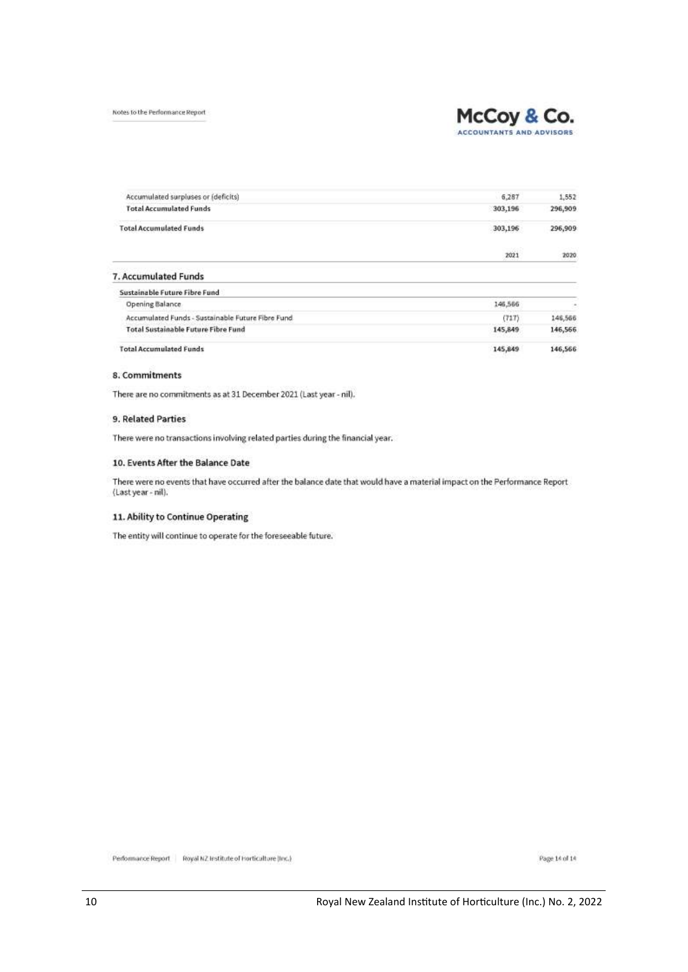Notes to the Performance Report



Accumulated surpluses or (deficits)  $6.287$ 1.552 **Total Accumulated Funds** 303,196 296,909 **Total Accumulated Funds** 303,196 296,909 2021 2020 7. Accumulated Funds Sustainable Future Fibre Fund 146,566 **Opening Balance** Accumulated Funds - Sustainable Future Fibre Fund  $(717)$ 146,566 **Total Sustainable Future Fibre Fund** 145,849 146,566 **Total Accumulated Funds** 145,849 146,566

## 8. Commitments

There are no commitments as at 31 December 2021 (Last year - nil).

### 9. Related Parties

There were no transactions involving related parties during the financial year.

### 10. Events After the Balance Date

There were no events that have occurred after the balance date that would have a material impact on the Performance Report (Last year - nil).

### 11. Ability to Continue Operating

The entity will continue to operate for the foreseeable future.

Performance Report | Royal NZ Institute of Horticulture (Inc.)

Page 14 of 14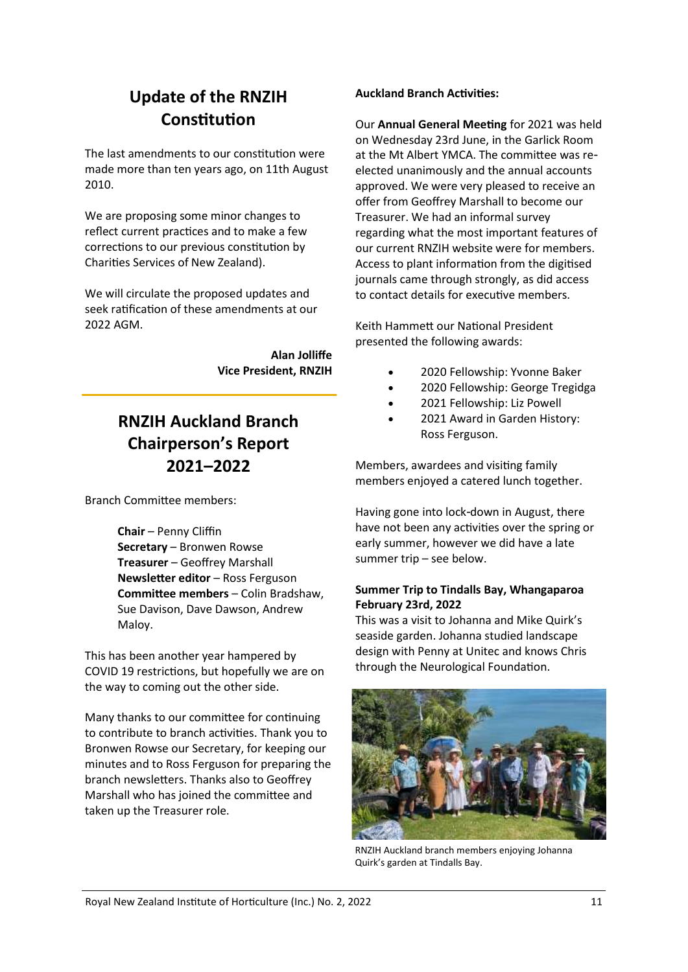## **Update of the RNZIH Constitution**

The last amendments to our constitution were made more than ten years ago, on 11th August 2010.

We are proposing some minor changes to reflect current practices and to make a few corrections to our previous constitution by Charities Services of New Zealand).

We will circulate the proposed updates and seek ratification of these amendments at our 2022 AGM.

> **Alan Jolliffe Vice President, RNZIH**

## **RNZIH Auckland Branch Chairperson's Report 2021–2022**

Branch Committee members:

**Chair** – Penny Cliffin **Secretary** – Bronwen Rowse **Treasurer** – Geoffrey Marshall **Newsletter editor - Ross Ferguson Committee members** – Colin Bradshaw, Sue Davison, Dave Dawson, Andrew Maloy.

This has been another year hampered by COVID 19 restrictions, but hopefully we are on the way to coming out the other side.

Many thanks to our committee for continuing to contribute to branch activities. Thank you to Bronwen Rowse our Secretary, for keeping our minutes and to Ross Ferguson for preparing the branch newsletters. Thanks also to Geoffrey Marshall who has joined the committee and taken up the Treasurer role.

## **Auckland Branch Activities:**

Our **Annual General Meeting** for 2021 was held on Wednesday 23rd June, in the Garlick Room at the Mt Albert YMCA. The committee was reelected unanimously and the annual accounts approved. We were very pleased to receive an offer from Geoffrey Marshall to become our Treasurer. We had an informal survey regarding what the most important features of our current RNZIH website were for members. Access to plant information from the digitised journals came through strongly, as did access to contact details for executive members.

Keith Hammett our National President presented the following awards:

- 2020 Fellowship: Yvonne Baker
- 2020 Fellowship: George Tregidga
- 2021 Fellowship: Liz Powell
- 2021 Award in Garden History: Ross Ferguson.

Members, awardees and visiting family members enjoyed a catered lunch together.

Having gone into lock-down in August, there have not been any activities over the spring or early summer, however we did have a late summer trip – see below.

## **Summer Trip to Tindalls Bay, Whangaparoa February 23rd, 2022**

This was a visit to Johanna and Mike Quirk's seaside garden. Johanna studied landscape design with Penny at Unitec and knows Chris through the Neurological Foundation.



RNZIH Auckland branch members enjoying Johanna Quirk's garden at Tindalls Bay.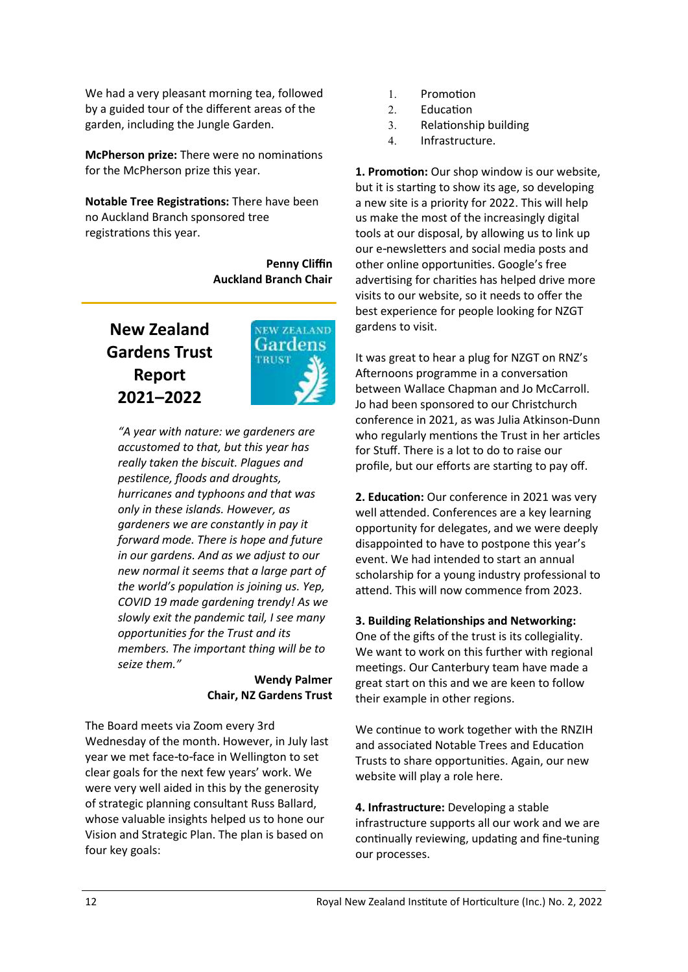We had a very pleasant morning tea, followed by a guided tour of the different areas of the garden, including the Jungle Garden.

**McPherson prize:** There were no nominations for the McPherson prize this year.

**Notable Tree Registrations:** There have been no Auckland Branch sponsored tree registrations this year.

> **Penny Cliffin Auckland Branch Chair**

## **New Zealand Gardens Trust Report 2021–2022**



*"A year with nature: we gardeners are accustomed to that, but this year has really taken the biscuit. Plagues and pestilence, floods and droughts, hurricanes and typhoons and that was only in these islands. However, as gardeners we are constantly in pay it forward mode. There is hope and future in our gardens. And as we adjust to our new normal it seems that a large part of the world's population is joining us. Yep, COVID 19 made gardening trendy! As we slowly exit the pandemic tail, I see many opportunities for the Trust and its members. The important thing will be to seize them."*

## **Wendy Palmer Chair, NZ Gardens Trust**

The Board meets via Zoom every 3rd Wednesday of the month. However, in July last year we met face-to-face in Wellington to set clear goals for the next few years' work. We were very well aided in this by the generosity of strategic planning consultant Russ Ballard, whose valuable insights helped us to hone our Vision and Strategic Plan. The plan is based on four key goals:

- 1. Promotion
- 2. Education
- Relationship building
- 4. Infrastructure.

**1. Promotion:** Our shop window is our website, but it is starting to show its age, so developing a new site is a priority for 2022. This will help us make the most of the increasingly digital tools at our disposal, by allowing us to link up our e-newsletters and social media posts and other online opportunities. Google's free advertising for charities has helped drive more visits to our website, so it needs to offer the best experience for people looking for NZGT gardens to visit.

It was great to hear a plug for NZGT on RNZ's Afternoons programme in a conversation between Wallace Chapman and Jo McCarroll. Jo had been sponsored to our Christchurch conference in 2021, as was Julia Atkinson-Dunn who regularly mentions the Trust in her articles for Stuff. There is a lot to do to raise our profile, but our efforts are starting to pay off.

**2. Education:** Our conference in 2021 was very well attended. Conferences are a key learning opportunity for delegates, and we were deeply disappointed to have to postpone this year's event. We had intended to start an annual scholarship for a young industry professional to attend. This will now commence from 2023.

## **3. Building Relationships and Networking:**

One of the gifts of the trust is its collegiality. We want to work on this further with regional meetings. Our Canterbury team have made a great start on this and we are keen to follow their example in other regions.

We continue to work together with the RNZIH and associated Notable Trees and Education Trusts to share opportunities. Again, our new website will play a role here.

**4. Infrastructure:** Developing a stable infrastructure supports all our work and we are continually reviewing, updating and fine-tuning our processes.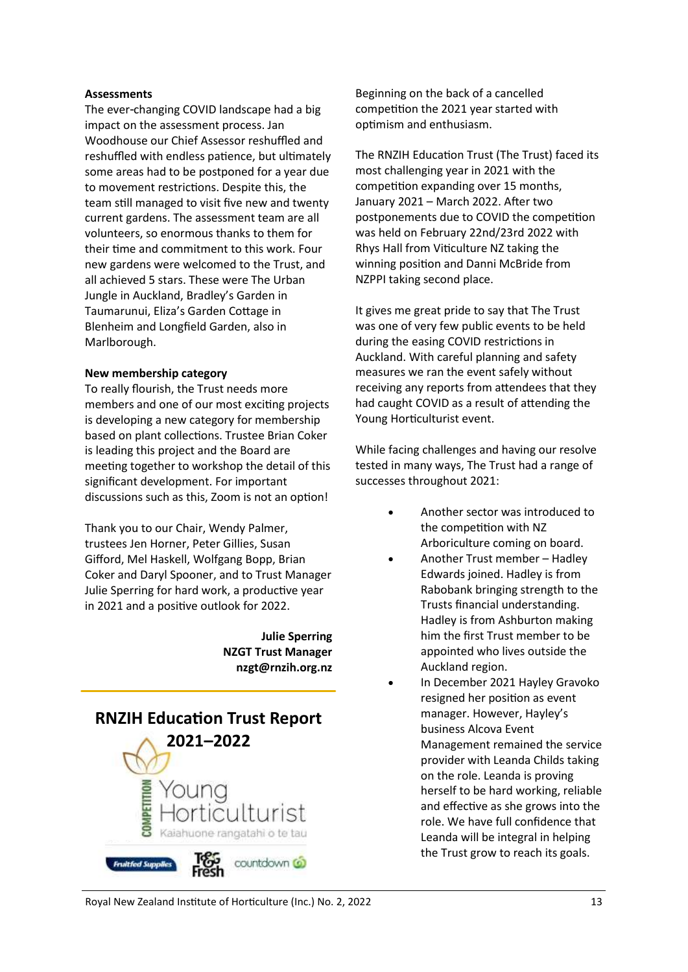### **Assessments**

The ever-changing COVID landscape had a big impact on the assessment process. Jan Woodhouse our Chief Assessor reshuffled and reshuffled with endless patience, but ultimately some areas had to be postponed for a year due to movement restrictions. Despite this, the team still managed to visit five new and twenty current gardens. The assessment team are all volunteers, so enormous thanks to them for their time and commitment to this work. Four new gardens were welcomed to the Trust, and all achieved 5 stars. These were The Urban Jungle in Auckland, Bradley's Garden in Taumarunui, Eliza's Garden Cottage in Blenheim and Longfield Garden, also in Marlborough.

## **New membership category**

To really flourish, the Trust needs more members and one of our most exciting projects is developing a new category for membership based on plant collections. Trustee Brian Coker is leading this project and the Board are meeting together to workshop the detail of this significant development. For important discussions such as this, Zoom is not an option!

Thank you to our Chair, Wendy Palmer, trustees Jen Horner, Peter Gillies, Susan Gifford, Mel Haskell, Wolfgang Bopp, Brian Coker and Daryl Spooner, and to Trust Manager Julie Sperring for hard work, a productive year in 2021 and a positive outlook for 2022.

> **Julie Sperring NZGT Trust Manager nzgt@rnzih.org.nz**



Beginning on the back of a cancelled competition the 2021 year started with optimism and enthusiasm.

The RNZIH Education Trust (The Trust) faced its most challenging year in 2021 with the competition expanding over 15 months, January 2021 – March 2022. After two postponements due to COVID the competition was held on February 22nd/23rd 2022 with Rhys Hall from Viticulture NZ taking the winning position and Danni McBride from NZPPI taking second place.

It gives me great pride to say that The Trust was one of very few public events to be held during the easing COVID restrictions in Auckland. With careful planning and safety measures we ran the event safely without receiving any reports from attendees that they had caught COVID as a result of attending the Young Horticulturist event.

While facing challenges and having our resolve tested in many ways, The Trust had a range of successes throughout 2021:

- Another sector was introduced to the competition with NZ Arboriculture coming on board.
- Another Trust member Hadley Edwards joined. Hadley is from Rabobank bringing strength to the Trusts financial understanding. Hadley is from Ashburton making him the first Trust member to be appointed who lives outside the Auckland region.
- In December 2021 Hayley Gravoko resigned her position as event manager. However, Hayley's business Alcova Event Management remained the service provider with Leanda Childs taking on the role. Leanda is proving herself to be hard working, reliable and effective as she grows into the role. We have full confidence that Leanda will be integral in helping the Trust grow to reach its goals.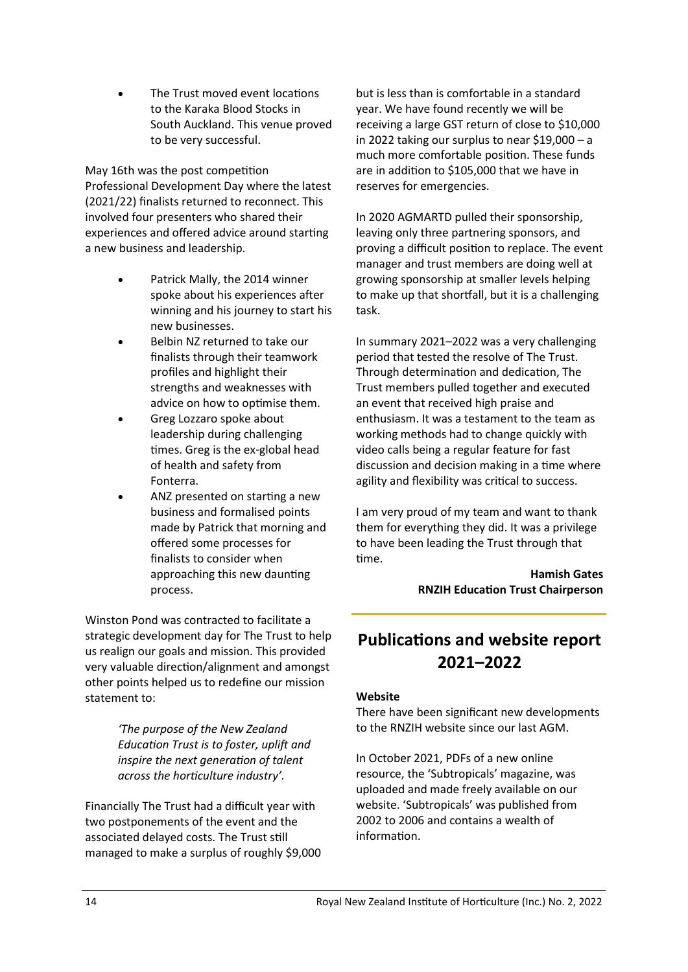The Trust moved event locations to the Karaka Blood Stocks in South Auckland. This venue proved to be very successful.

May 16th was the post competition Professional Development Day where the latest (2021/22) finalists returned to reconnect. This involved four presenters who shared their experiences and offered advice around starting a new business and leadership.

- Patrick Mally, the 2014 winner spoke about his experiences after winning and his journey to start his new businesses.
- Belbin NZ returned to take our finalists through their teamwork profiles and highlight their strengths and weaknesses with advice on how to optimise them.
- Greg Lozzaro spoke about leadership during challenging times. Greg is the ex-global head of health and safety from Fonterra.
- ANZ presented on starting a new business and formalised points made by Patrick that morning and offered some processes for finalists to consider when approaching this new daunting process.

Winston Pond was contracted to facilitate a strategic development day for The Trust to help us realign our goals and mission. This provided very valuable direction/alignment and amongst other points helped us to redefine our mission statement to:

> *'The purpose of the New Zealand Education Trust is to foster, uplift and inspire the next generation of talent across the horticulture industry'.*

Financially The Trust had a difficult year with two postponements of the event and the associated delayed costs. The Trust still managed to make a surplus of roughly \$9,000 but is less than is comfortable in a standard year. We have found recently we will be receiving a large GST return of close to \$10,000 in 2022 taking our surplus to near \$19,000 – a much more comfortable position. These funds are in addition to \$105,000 that we have in reserves for emergencies.

In 2020 AGMARTD pulled their sponsorship, leaving only three partnering sponsors, and proving a difficult position to replace. The event manager and trust members are doing well at growing sponsorship at smaller levels helping to make up that shortfall, but it is a challenging task.

In summary 2021–2022 was a very challenging period that tested the resolve of The Trust. Through determination and dedication, The Trust members pulled together and executed an event that received high praise and enthusiasm. It was a testament to the team as working methods had to change quickly with video calls being a regular feature for fast discussion and decision making in a time where agility and flexibility was critical to success.

I am very proud of my team and want to thank them for everything they did. It was a privilege to have been leading the Trust through that time.

> **Hamish Gates RNZIH Education Trust Chairperson**

## **Publications and website report 2021–2022**

## **Website**

There have been significant new developments to the RNZIH website since our last AGM.

In October 2021, PDFs of a new online resource, the 'Subtropicals' magazine, was uploaded and made freely available on our website. 'Subtropicals' was published from 2002 to 2006 and contains a wealth of information.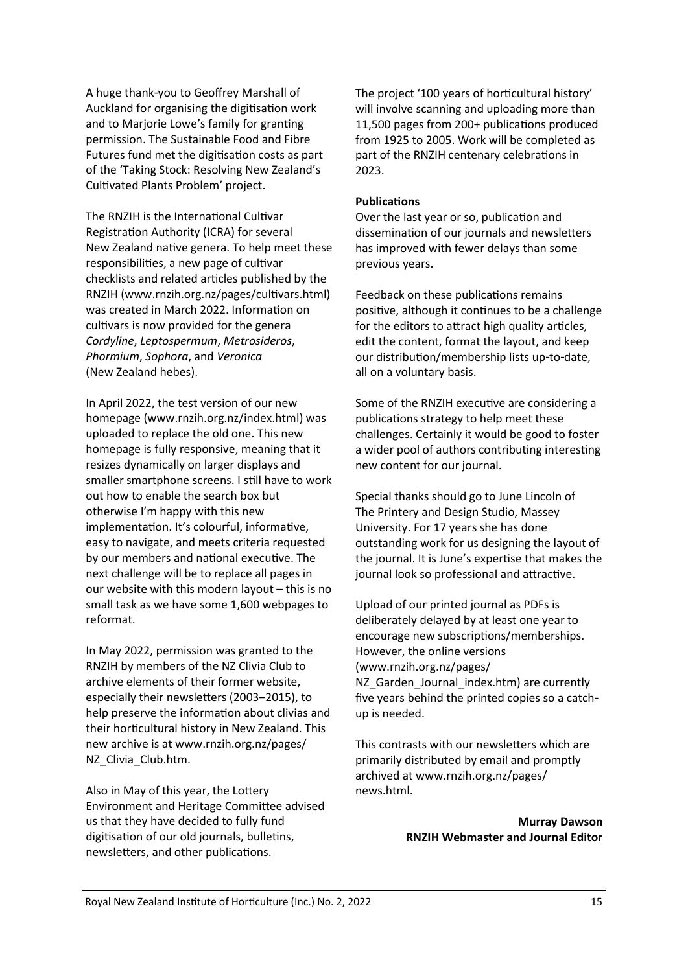A huge thank-you to Geoffrey Marshall of Auckland for organising the digitisation work and to Marjorie Lowe's family for granting permission. The Sustainable Food and Fibre Futures fund met the digitisation costs as part of the 'Taking Stock: Resolving New Zealand's Cultivated Plants Problem' project.

The RNZIH is the International Cultivar Registration Authority (ICRA) for several New Zealand native genera. To help meet these responsibilities, a new page of cultivar checklists and related articles published by the RNZIH (www.rnzih.org.nz/pages/cultivars.html) was created in March 2022. Information on cultivars is now provided for the genera *Cordyline*, *Leptospermum*, *Metrosideros*, *Phormium*, *Sophora*, and *Veronica* (New Zealand hebes).

In April 2022, the test version of our new homepage (www.rnzih.org.nz/index.html) was uploaded to replace the old one. This new homepage is fully responsive, meaning that it resizes dynamically on larger displays and smaller smartphone screens. I still have to work out how to enable the search box but otherwise I'm happy with this new implementation. It's colourful, informative, easy to navigate, and meets criteria requested by our members and national executive. The next challenge will be to replace all pages in our website with this modern layout – this is no small task as we have some 1,600 webpages to reformat.

In May 2022, permission was granted to the RNZIH by members of the NZ Clivia Club to archive elements of their former website, especially their newsletters (2003–2015), to help preserve the information about clivias and their horticultural history in New Zealand. This new archive is at www.rnzih.org.nz/pages/ NZ\_Clivia\_Club.htm.

Also in May of this year, the Lottery Environment and Heritage Committee advised us that they have decided to fully fund digitisation of our old journals, bulletins, newsletters, and other publications.

The project '100 years of horticultural history' will involve scanning and uploading more than 11,500 pages from 200+ publications produced from 1925 to 2005. Work will be completed as part of the RNZIH centenary celebrations in 2023.

## **Publications**

Over the last year or so, publication and dissemination of our journals and newsletters has improved with fewer delays than some previous years.

Feedback on these publications remains positive, although it continues to be a challenge for the editors to attract high quality articles, edit the content, format the layout, and keep our distribution/membership lists up-to-date, all on a voluntary basis.

Some of the RNZIH executive are considering a publications strategy to help meet these challenges. Certainly it would be good to foster a wider pool of authors contributing interesting new content for our journal.

Special thanks should go to June Lincoln of The Printery and Design Studio, Massey University. For 17 years she has done outstanding work for us designing the layout of the journal. It is June's expertise that makes the journal look so professional and attractive.

Upload of our printed journal as PDFs is deliberately delayed by at least one year to encourage new subscriptions/memberships. However, the online versions (www.rnzih.org.nz/pages/ NZ Garden Journal index.htm) are currently five years behind the printed copies so a catchup is needed.

This contrasts with our newsletters which are primarily distributed by email and promptly archived at www.rnzih.org.nz/pages/ news.html.

> **Murray Dawson RNZIH Webmaster and Journal Editor**